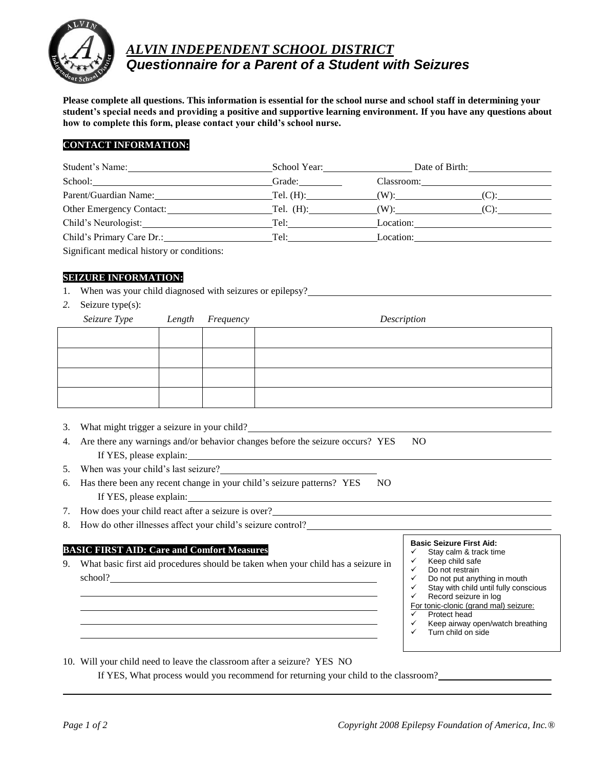

# *ALVIN INDEPENDENT SCHOOL DISTRICT Questionnaire for a Parent of a Student with Seizures*

**Please complete all questions. This information is essential for the school nurse and school staff in determining your student's special needs and providing a positive and supportive learning environment. If you have any questions about how to complete this form, please contact your child's school nurse.**

# **CONTACT INFORMATION:**

| Student's Name:                                                                                                      | School Year: 1988 1999      |                      | Date of Birth: |  |
|----------------------------------------------------------------------------------------------------------------------|-----------------------------|----------------------|----------------|--|
| School:<br><u> 1980 - Jan Barbara, martxa al II-lea (h. 1980).</u>                                                   | Grade:                      | Classroom:           |                |  |
| Parent/Guardian Name:                                                                                                | Tel. $(H)$ :                |                      |                |  |
| Other Emergency Contact:                                                                                             |                             | Tel. $(H)$ : $(W)$ : |                |  |
| Child's Neurologist:                                                                                                 | Tel: $\qquad \qquad \qquad$ | Location:            |                |  |
| Child's Primary Care Dr.:                                                                                            | Tel:                        | Location:            |                |  |
| $\sim$ 0.1 $\sim$ 1.1 $\sim$ 1.1 $\sim$ 1.1 $\sim$ 1.1 $\sim$ 1.1 $\sim$ 1.1 $\sim$ 1.1 $\sim$ 1.1 $\sim$ 1.1 $\sim$ |                             |                      |                |  |

Significant medical history or conditions:

# **SEIZURE INFORMATION:**

- 1. When was your child diagnosed with seizures or epilepsy?
- *2.* Seizure type(s):

| Seizure Type Length Frequency |  | Description |
|-------------------------------|--|-------------|
|                               |  |             |
|                               |  |             |
|                               |  |             |
|                               |  |             |

- 3. What might trigger a seizure in your child?
- 4. Are there any warnings and/or behavior changes before the seizure occurs? YES NO If YES, please explain:
- 5. When was your child's last seizure?
- 6. Has there been any recent change in your child's seizure patterns? YES NO If YES, please explain:
- 7. How does your child react after a seizure is over?
- 8. How do other illnesses affect your child's seizure control?

### **BASIC FIRST AID: Care and Comfort Measures**

9. What basic first aid procedures should be taken when your child has a seizure in school?



- $\checkmark$  Stay calm & track time
- $\checkmark$  Keep child safe<br> $\checkmark$  Do not restrain
- Do not restrain
- $\checkmark$  Do not put anything in mouth
- $\checkmark$  Stay with child until fully conscious<br> $\checkmark$  Becord sciture in log Record seizure in log
- For tonic-clonic (grand mal) seizure:
- Protect head
- $\checkmark$  Keep airway open/watch breathing
- Turn child on side
- 10. Will your child need to leave the classroom after a seizure? YES NO

If YES, What process would you recommend for returning your child to the classroom?